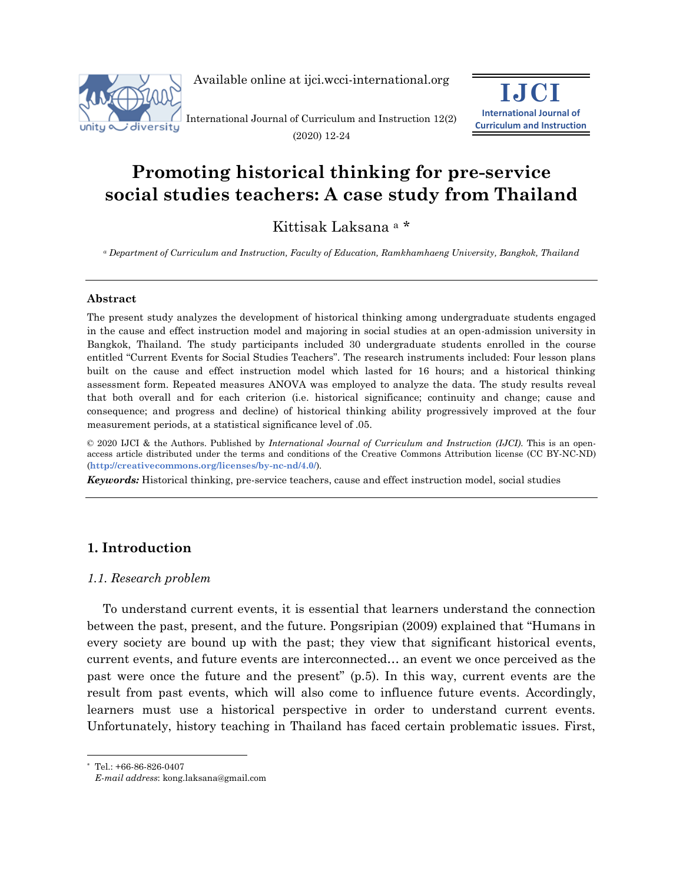

Available online at ijci.wcci-international.org

International Journal of Curriculum and Instruction 12(2) (2020) 12-24



# **Promoting historical thinking for pre-service social studies teachers: A case study from Thailand**

Kittisak Laksana <sup>a</sup> \*

*<sup>a</sup> Department of Curriculum and Instruction, Faculty of Education, Ramkhamhaeng University, Bangkok, Thailand*

#### **Abstract**

The present study analyzes the development of historical thinking among undergraduate students engaged in the cause and effect instruction model and majoring in social studies at an open-admission university in Bangkok, Thailand. The study participants included 30 undergraduate students enrolled in the course entitled "Current Events for Social Studies Teachers". The research instruments included: Four lesson plans built on the cause and effect instruction model which lasted for 16 hours; and a historical thinking assessment form. Repeated measures ANOVA was employed to analyze the data. The study results reveal that both overall and for each criterion (i.e. historical significance; continuity and change; cause and consequence; and progress and decline) of historical thinking ability progressively improved at the four measurement periods, at a statistical significance level of .05.

© 2020 IJCI & the Authors. Published by *International Journal of Curriculum and Instruction (IJCI)*. This is an openaccess article distributed under the terms and conditions of the Creative Commons Attribution license (CC BY-NC-ND) (**http://creativecommons.org/licenses/by-nc-nd/4.0/**).

*Keywords:* Historical thinking, pre-service teachers, cause and effect instruction model, social studies

## **1. Introduction**

### *1.1. Research problem*

To understand current events, it is essential that learners understand the connection between the past, present, and the future. Pongsripian (2009) explained that "Humans in every society are bound up with the past; they view that significant historical events, current events, and future events are interconnected… an event we once perceived as the past were once the future and the present" (p.5). In this way, current events are the result from past events, which will also come to influence future events. Accordingly, learners must use a historical perspective in order to understand current events. Unfortunately, history teaching in Thailand has faced certain problematic issues. First,

Tel.: +66-86-826-0407

*E-mail address*: kong.laksana@gmail.com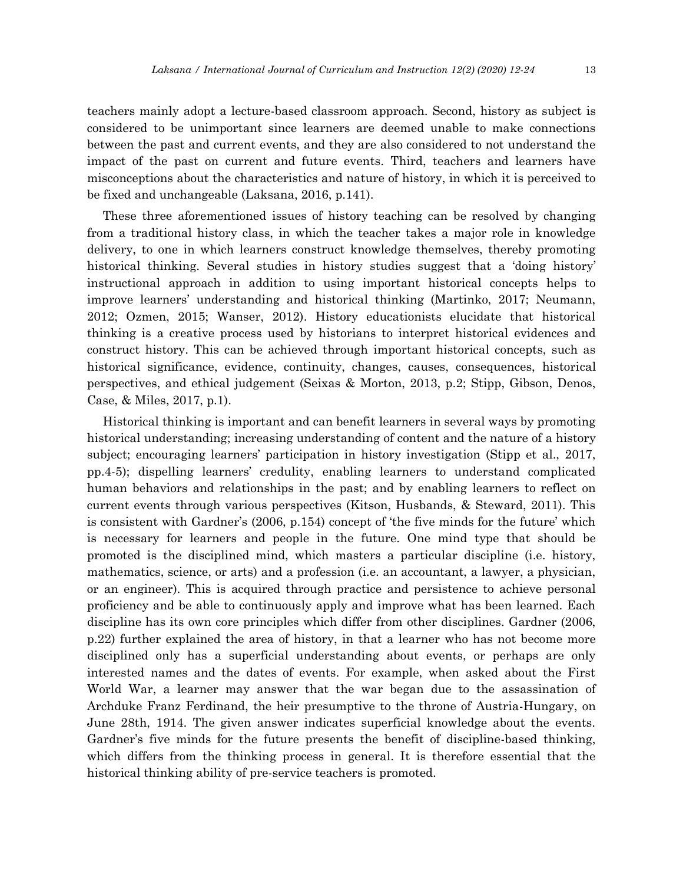teachers mainly adopt a lecture-based classroom approach. Second, history as subject is considered to be unimportant since learners are deemed unable to make connections between the past and current events, and they are also considered to not understand the impact of the past on current and future events. Third, teachers and learners have misconceptions about the characteristics and nature of history, in which it is perceived to be fixed and unchangeable (Laksana, 2016, p.141).

These three aforementioned issues of history teaching can be resolved by changing from a traditional history class, in which the teacher takes a major role in knowledge delivery, to one in which learners construct knowledge themselves, thereby promoting historical thinking. Several studies in history studies suggest that a 'doing history' instructional approach in addition to using important historical concepts helps to improve learners' understanding and historical thinking (Martinko, 2017; Neumann, 2012; Ozmen, 2015; Wanser, 2012). History educationists elucidate that historical thinking is a creative process used by historians to interpret historical evidences and construct history. This can be achieved through important historical concepts, such as historical significance, evidence, continuity, changes, causes, consequences, historical perspectives, and ethical judgement (Seixas & Morton, 2013, p.2; Stipp, Gibson, Denos, Case, & Miles, 2017, p.1).

Historical thinking is important and can benefit learners in several ways by promoting historical understanding; increasing understanding of content and the nature of a history subject; encouraging learners' participation in history investigation (Stipp et al., 2017, pp.4-5); dispelling learners' credulity, enabling learners to understand complicated human behaviors and relationships in the past; and by enabling learners to reflect on current events through various perspectives (Kitson, Husbands, & Steward, 2011). This is consistent with Gardner's (2006, p.154) concept of 'the five minds for the future' which is necessary for learners and people in the future. One mind type that should be promoted is the disciplined mind, which masters a particular discipline (i.e. history, mathematics, science, or arts) and a profession (i.e. an accountant, a lawyer, a physician, or an engineer). This is acquired through practice and persistence to achieve personal proficiency and be able to continuously apply and improve what has been learned. Each discipline has its own core principles which differ from other disciplines. Gardner (2006, p.22) further explained the area of history, in that a learner who has not become more disciplined only has a superficial understanding about events, or perhaps are only interested names and the dates of events. For example, when asked about the First World War, a learner may answer that the war began due to the assassination of Archduke Franz Ferdinand, the heir presumptive to the throne of Austria-Hungary, on June 28th, 1914. The given answer indicates superficial knowledge about the events. Gardner's five minds for the future presents the benefit of discipline-based thinking, which differs from the thinking process in general. It is therefore essential that the historical thinking ability of pre-service teachers is promoted.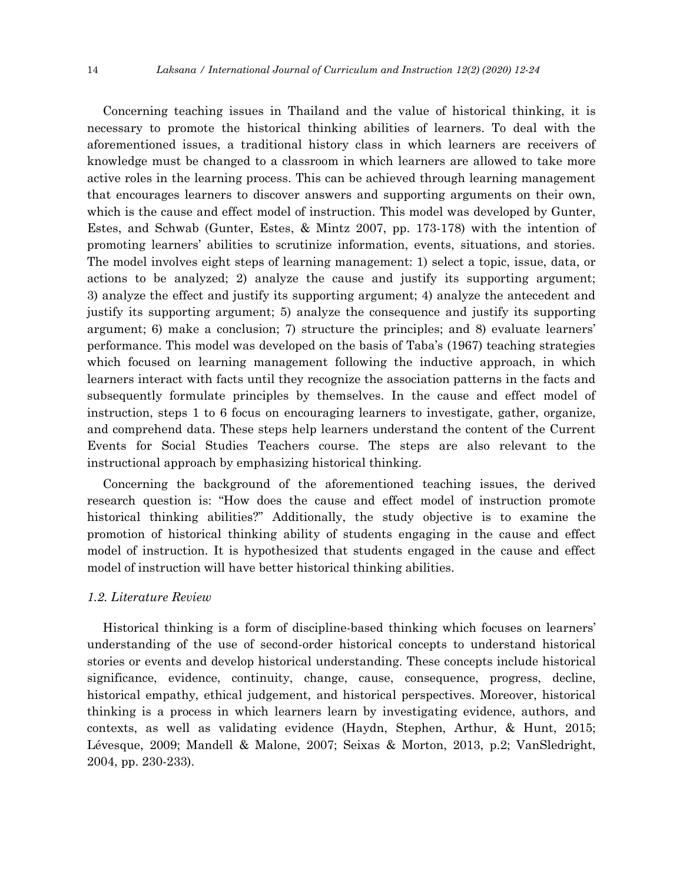Concerning teaching issues in Thailand and the value of historical thinking, it is necessary to promote the historical thinking abilities of learners. To deal with the aforementioned issues, a traditional history class in which learners are receivers of knowledge must be changed to a classroom in which learners are allowed to take more active roles in the learning process. This can be achieved through learning management that encourages learners to discover answers and supporting arguments on their own, which is the cause and effect model of instruction. This model was developed by Gunter, Estes, and Schwab (Gunter, Estes, & Mintz 2007, pp. 173-178) with the intention of promoting learners' abilities to scrutinize information, events, situations, and stories. The model involves eight steps of learning management: 1) select a topic, issue, data, or actions to be analyzed; 2) analyze the cause and justify its supporting argument; 3) analyze the effect and justify its supporting argument; 4) analyze the antecedent and justify its supporting argument; 5) analyze the consequence and justify its supporting argument; 6) make a conclusion; 7) structure the principles; and 8) evaluate learners' performance. This model was developed on the basis of Taba's (1967) teaching strategies which focused on learning management following the inductive approach, in which learners interact with facts until they recognize the association patterns in the facts and subsequently formulate principles by themselves. In the cause and effect model of instruction, steps 1 to 6 focus on encouraging learners to investigate, gather, organize, and comprehend data. These steps help learners understand the content of the Current Events for Social Studies Teachers course. The steps are also relevant to the instructional approach by emphasizing historical thinking.

Concerning the background of the aforementioned teaching issues, the derived research question is: "How does the cause and effect model of instruction promote historical thinking abilities?" Additionally, the study objective is to examine the promotion of historical thinking ability of students engaging in the cause and effect model of instruction. It is hypothesized that students engaged in the cause and effect model of instruction will have better historical thinking abilities.

#### *1.2. Literature Review*

Historical thinking is a form of discipline-based thinking which focuses on learners' understanding of the use of second-order historical concepts to understand historical stories or events and develop historical understanding. These concepts include historical significance, evidence, continuity, change, cause, consequence, progress, decline, historical empathy, ethical judgement, and historical perspectives. Moreover, historical thinking is a process in which learners learn by investigating evidence, authors, and contexts, as well as validating evidence (Haydn, Stephen, Arthur, & Hunt, 2015; Lévesque, 2009; Mandell & Malone, 2007; Seixas & Morton, 2013, p.2; VanSledright, 2004, pp. 230-233).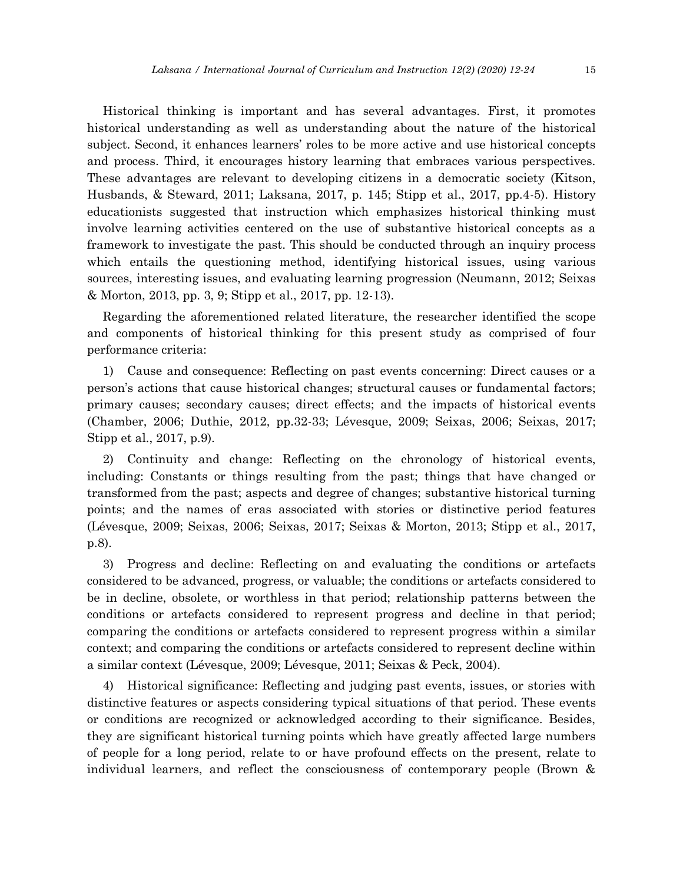Historical thinking is important and has several advantages. First, it promotes historical understanding as well as understanding about the nature of the historical subject. Second, it enhances learners' roles to be more active and use historical concepts and process. Third, it encourages history learning that embraces various perspectives. These advantages are relevant to developing citizens in a democratic society (Kitson, Husbands, & Steward, 2011; Laksana, 2017, p. 145; Stipp et al., 2017, pp.4-5). History educationists suggested that instruction which emphasizes historical thinking must involve learning activities centered on the use of substantive historical concepts as a framework to investigate the past. This should be conducted through an inquiry process which entails the questioning method, identifying historical issues, using various sources, interesting issues, and evaluating learning progression (Neumann, 2012; Seixas & Morton, 2013, pp. 3, 9; Stipp et al., 2017, pp. 12-13).

Regarding the aforementioned related literature, the researcher identified the scope and components of historical thinking for this present study as comprised of four performance criteria:

1) Cause and consequence: Reflecting on past events concerning: Direct causes or a person's actions that cause historical changes; structural causes or fundamental factors; primary causes; secondary causes; direct effects; and the impacts of historical events (Chamber, 2006; Duthie, 2012, pp.32-33; Lévesque, 2009; Seixas, 2006; Seixas, 2017; Stipp et al., 2017, p.9).

2) Continuity and change: Reflecting on the chronology of historical events, including: Constants or things resulting from the past; things that have changed or transformed from the past; aspects and degree of changes; substantive historical turning points; and the names of eras associated with stories or distinctive period features (Lévesque, 2009; Seixas, 2006; Seixas, 2017; Seixas & Morton, 2013; Stipp et al., 2017, p.8).

3) Progress and decline: Reflecting on and evaluating the conditions or artefacts considered to be advanced, progress, or valuable; the conditions or artefacts considered to be in decline, obsolete, or worthless in that period; relationship patterns between the conditions or artefacts considered to represent progress and decline in that period; comparing the conditions or artefacts considered to represent progress within a similar context; and comparing the conditions or artefacts considered to represent decline within a similar context (Lévesque, 2009; Lévesque, 2011; Seixas & Peck, 2004).

4) Historical significance: Reflecting and judging past events, issues, or stories with distinctive features or aspects considering typical situations of that period. These events or conditions are recognized or acknowledged according to their significance. Besides, they are significant historical turning points which have greatly affected large numbers of people for a long period, relate to or have profound effects on the present, relate to individual learners, and reflect the consciousness of contemporary people (Brown &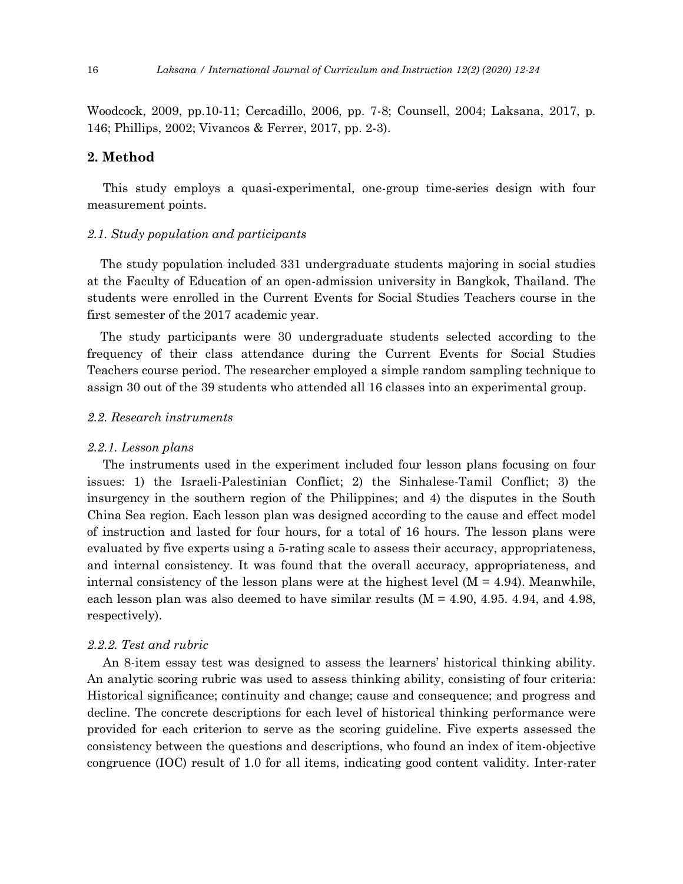Woodcock, 2009, pp.10-11; Cercadillo, 2006, pp. 7-8; Counsell, 2004; Laksana, 2017, p. 146; Phillips, 2002; Vivancos & Ferrer, 2017, pp. 2-3).

## **2. Method**

This study employs a quasi-experimental, one-group time-series design with four measurement points.

#### *2.1. Study population and participants*

The study population included 331 undergraduate students majoring in social studies at the Faculty of Education of an open-admission university in Bangkok, Thailand. The students were enrolled in the Current Events for Social Studies Teachers course in the first semester of the 2017 academic year.

The study participants were 30 undergraduate students selected according to the frequency of their class attendance during the Current Events for Social Studies Teachers course period. The researcher employed a simple random sampling technique to assign 30 out of the 39 students who attended all 16 classes into an experimental group.

#### *2.2. Research instruments*

#### *2.2.1. Lesson plans*

The instruments used in the experiment included four lesson plans focusing on four issues: 1) the Israeli-Palestinian Conflict; 2) the Sinhalese-Tamil Conflict; 3) the insurgency in the southern region of the Philippines; and 4) the disputes in the South China Sea region. Each lesson plan was designed according to the cause and effect model of instruction and lasted for four hours, for a total of 16 hours. The lesson plans were evaluated by five experts using a 5-rating scale to assess their accuracy, appropriateness, and internal consistency. It was found that the overall accuracy, appropriateness, and internal consistency of the lesson plans were at the highest level  $(M = 4.94)$ . Meanwhile, each lesson plan was also deemed to have similar results  $(M = 4.90, 4.95, 4.94,$  and 4.98, respectively).

#### *2.2.2. Test and rubric*

An 8-item essay test was designed to assess the learners' historical thinking ability. An analytic scoring rubric was used to assess thinking ability, consisting of four criteria: Historical significance; continuity and change; cause and consequence; and progress and decline. The concrete descriptions for each level of historical thinking performance were provided for each criterion to serve as the scoring guideline. Five experts assessed the consistency between the questions and descriptions, who found an index of item-objective congruence (IOC) result of 1.0 for all items, indicating good content validity. Inter-rater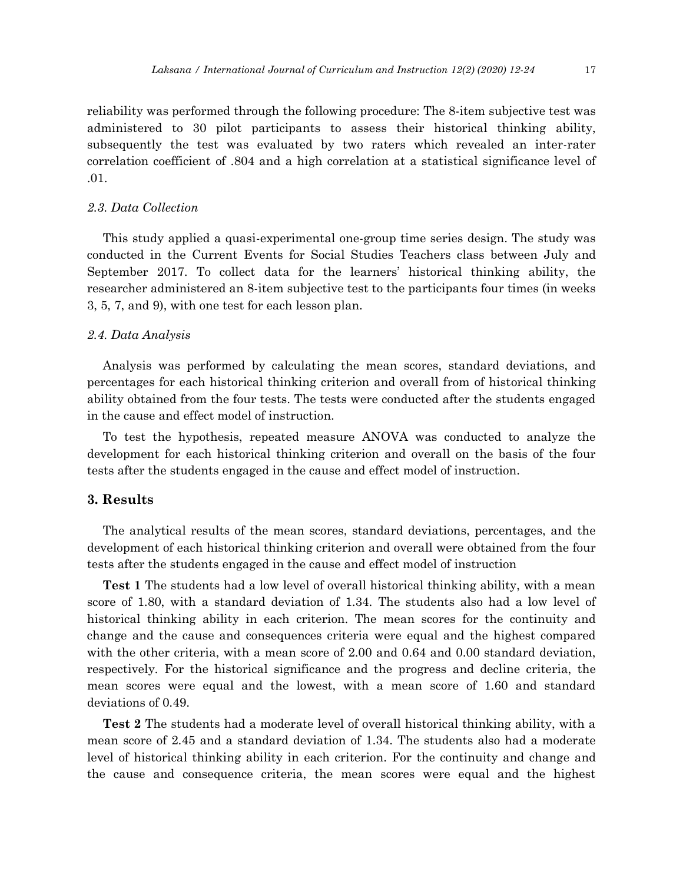reliability was performed through the following procedure: The 8-item subjective test was administered to 30 pilot participants to assess their historical thinking ability, subsequently the test was evaluated by two raters which revealed an inter-rater correlation coefficient of .804 and a high correlation at a statistical significance level of .01.

#### *2.3. Data Collection*

This study applied a quasi-experimental one-group time series design. The study was conducted in the Current Events for Social Studies Teachers class between July and September 2017. To collect data for the learners' historical thinking ability, the researcher administered an 8-item subjective test to the participants four times (in weeks 3, 5, 7, and 9), with one test for each lesson plan.

#### *2.4. Data Analysis*

Analysis was performed by calculating the mean scores, standard deviations, and percentages for each historical thinking criterion and overall from of historical thinking ability obtained from the four tests. The tests were conducted after the students engaged in the cause and effect model of instruction.

To test the hypothesis, repeated measure ANOVA was conducted to analyze the development for each historical thinking criterion and overall on the basis of the four tests after the students engaged in the cause and effect model of instruction.

## **3. Results**

The analytical results of the mean scores, standard deviations, percentages, and the development of each historical thinking criterion and overall were obtained from the four tests after the students engaged in the cause and effect model of instruction

**Test 1** The students had a low level of overall historical thinking ability, with a mean score of 1.80, with a standard deviation of 1.34. The students also had a low level of historical thinking ability in each criterion. The mean scores for the continuity and change and the cause and consequences criteria were equal and the highest compared with the other criteria, with a mean score of 2.00 and 0.64 and 0.00 standard deviation, respectively. For the historical significance and the progress and decline criteria, the mean scores were equal and the lowest, with a mean score of 1.60 and standard deviations of 0.49.

**Test 2** The students had a moderate level of overall historical thinking ability, with a mean score of 2.45 and a standard deviation of 1.34. The students also had a moderate level of historical thinking ability in each criterion. For the continuity and change and the cause and consequence criteria, the mean scores were equal and the highest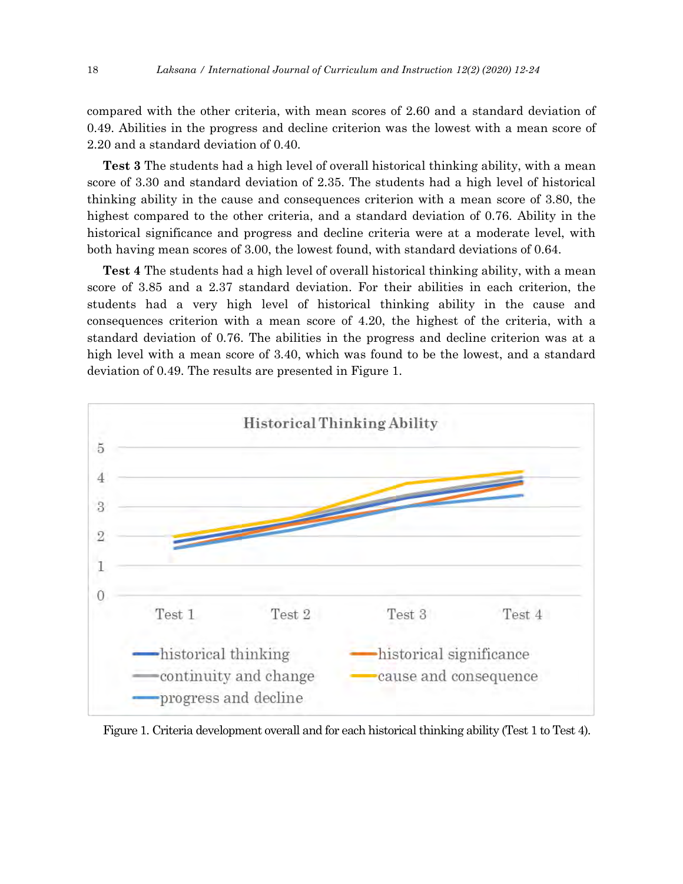compared with the other criteria, with mean scores of 2.60 and a standard deviation of 0.49. Abilities in the progress and decline criterion was the lowest with a mean score of 2.20 and a standard deviation of 0.40.

**Test 3** The students had a high level of overall historical thinking ability, with a mean score of 3.30 and standard deviation of 2.35. The students had a high level of historical thinking ability in the cause and consequences criterion with a mean score of 3.80, the highest compared to the other criteria, and a standard deviation of 0.76. Ability in the historical significance and progress and decline criteria were at a moderate level, with both having mean scores of 3.00, the lowest found, with standard deviations of 0.64.

**Test 4** The students had a high level of overall historical thinking ability, with a mean score of 3.85 and a 2.37 standard deviation. For their abilities in each criterion, the students had a very high level of historical thinking ability in the cause and consequences criterion with a mean score of 4.20, the highest of the criteria, with a standard deviation of 0.76. The abilities in the progress and decline criterion was at a high level with a mean score of 3.40, which was found to be the lowest, and a standard deviation of 0.49. The results are presented in Figure 1.



Figure 1. Criteria development overall and for each historical thinking ability (Test 1 to Test 4).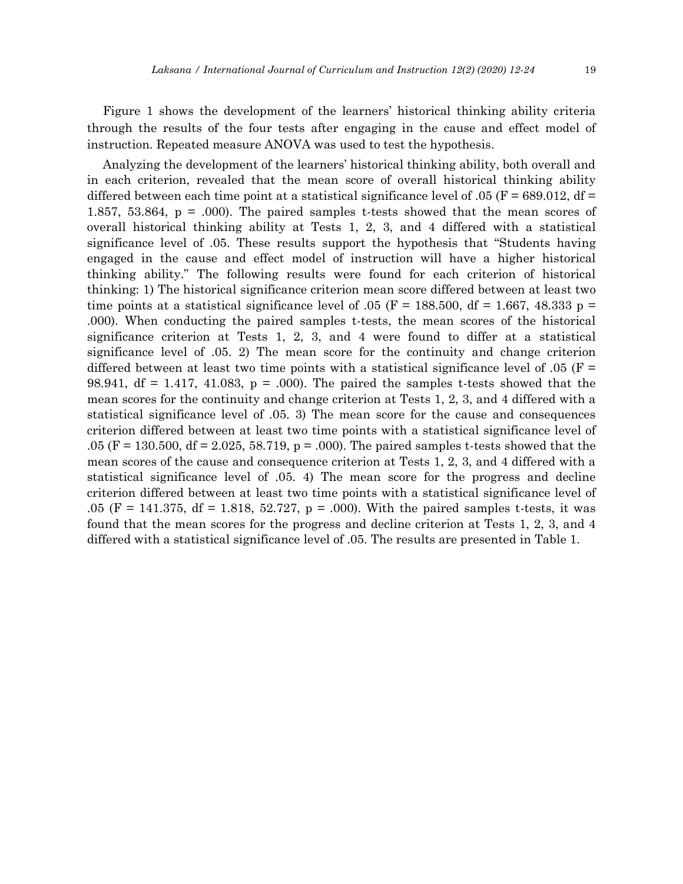Figure 1 shows the development of the learners' historical thinking ability criteria through the results of the four tests after engaging in the cause and effect model of instruction. Repeated measure ANOVA was used to test the hypothesis.

Analyzing the development of the learners' historical thinking ability, both overall and in each criterion, revealed that the mean score of overall historical thinking ability differed between each time point at a statistical significance level of .05 ( $F = 689.012$ , df = 1.857, 53.864, p = .000). The paired samples t-tests showed that the mean scores of overall historical thinking ability at Tests 1, 2, 3, and 4 differed with a statistical significance level of .05. These results support the hypothesis that "Students having engaged in the cause and effect model of instruction will have a higher historical thinking ability." The following results were found for each criterion of historical thinking: 1) The historical significance criterion mean score differed between at least two time points at a statistical significance level of .05 (F = 188.500, df = 1.667, 48.333 p = .000). When conducting the paired samples t-tests, the mean scores of the historical significance criterion at Tests 1, 2, 3, and 4 were found to differ at a statistical significance level of .05. 2) The mean score for the continuity and change criterion differred between at least two time points with a statistical significance level of .05 ( $F =$ 98.941,  $df = 1.417$ , 41.083,  $p = .000$ . The paired the samples t-tests showed that the mean scores for the continuity and change criterion at Tests 1, 2, 3, and 4 differed with a statistical significance level of .05. 3) The mean score for the cause and consequences criterion differed between at least two time points with a statistical significance level of .05 (F = 130.500, df = 2.025, 58.719, p = .000). The paired samples t-tests showed that the mean scores of the cause and consequence criterion at Tests 1, 2, 3, and 4 differed with a statistical significance level of .05. 4) The mean score for the progress and decline criterion differed between at least two time points with a statistical significance level of .05 (F = 141.375, df = 1.818, 52.727, p = .000). With the paired samples t-tests, it was found that the mean scores for the progress and decline criterion at Tests 1, 2, 3, and 4 differed with a statistical significance level of .05. The results are presented in Table 1.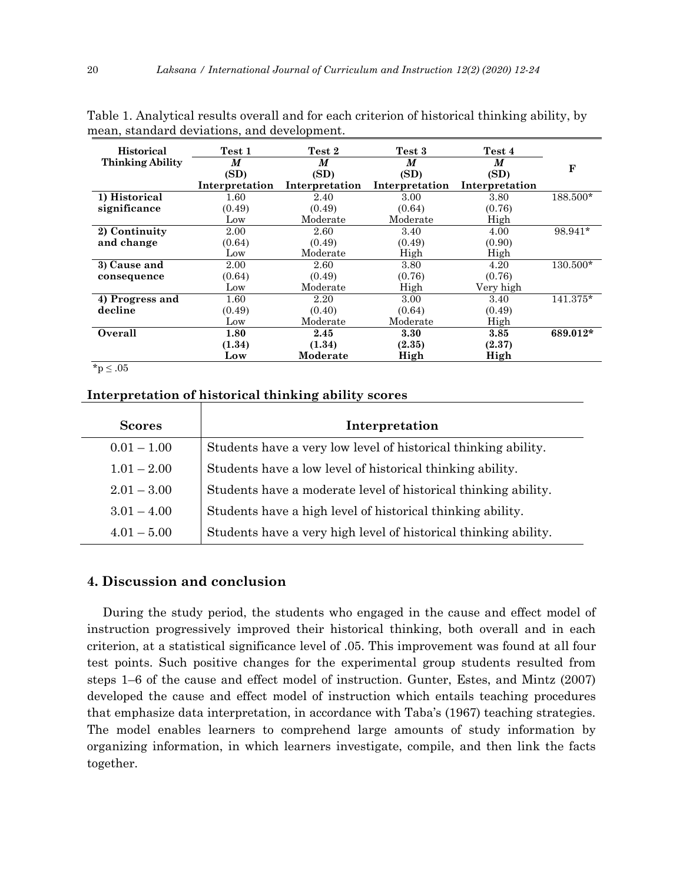| <b>Historical</b>       | Test 1         | Test 2         | Test 3         | Test 4         |          |
|-------------------------|----------------|----------------|----------------|----------------|----------|
| <b>Thinking Ability</b> | M              | M              | M              | M              | F        |
|                         | (SD)           | (SD)           | (SD)           | (SD)           |          |
|                         | Interpretation | Interpretation | Interpretation | Interpretation |          |
| 1) Historical           | 1.60           | 2.40           | 3.00           | 3.80           | 188.500* |
| significance            | (0.49)         | (0.49)         | (0.64)         | (0.76)         |          |
|                         | Low            | Moderate       | Moderate       | High           |          |
| 2) Continuity           | 2.00           | 2.60           | 3.40           | 4.00           | 98.941*  |
| and change              | (0.64)         | (0.49)         | (0.49)         | (0.90)         |          |
|                         | Low            | Moderate       | High           | High           |          |
| 3) Cause and            | 2.00           | 2.60           | 3.80           | 4.20           | 130.500* |
| consequence             | (0.64)         | (0.49)         | (0.76)         | (0.76)         |          |
|                         | Low            | Moderate       | High           | Very high      |          |
| 4) Progress and         | 1.60           | 2.20           | 3.00           | 3.40           | 141.375* |
| decline                 | (0.49)         | (0.40)         | (0.64)         | (0.49)         |          |
|                         | Low            | Moderate       | Moderate       | High           |          |
| Overall                 | 1.80           | 2.45           | 3.30           | 3.85           | 689.012* |
|                         | (1.34)         | (1.34)         | (2.35)         | (2.37)         |          |
|                         | Low            | Moderate       | High           | High           |          |

Table 1. Analytical results overall and for each criterion of historical thinking ability, by mean, standard deviations, and development.

 $*{\rm p}\leq .05$ 

## **Interpretation of historical thinking ability scores**

| <b>Scores</b> | Interpretation                                                  |  |  |
|---------------|-----------------------------------------------------------------|--|--|
| $0.01 - 1.00$ | Students have a very low level of historical thinking ability.  |  |  |
| $1.01 - 2.00$ | Students have a low level of historical thinking ability.       |  |  |
| $2.01 - 3.00$ | Students have a moderate level of historical thinking ability.  |  |  |
| $3.01 - 4.00$ | Students have a high level of historical thinking ability.      |  |  |
| $4.01 - 5.00$ | Students have a very high level of historical thinking ability. |  |  |

## **4. Discussion and conclusion**

During the study period, the students who engaged in the cause and effect model of instruction progressively improved their historical thinking, both overall and in each criterion, at a statistical significance level of .05. This improvement was found at all four test points. Such positive changes for the experimental group students resulted from steps 1–6 of the cause and effect model of instruction. Gunter, Estes, and Mintz (2007) developed the cause and effect model of instruction which entails teaching procedures that emphasize data interpretation, in accordance with Taba's (1967) teaching strategies. The model enables learners to comprehend large amounts of study information by organizing information, in which learners investigate, compile, and then link the facts together.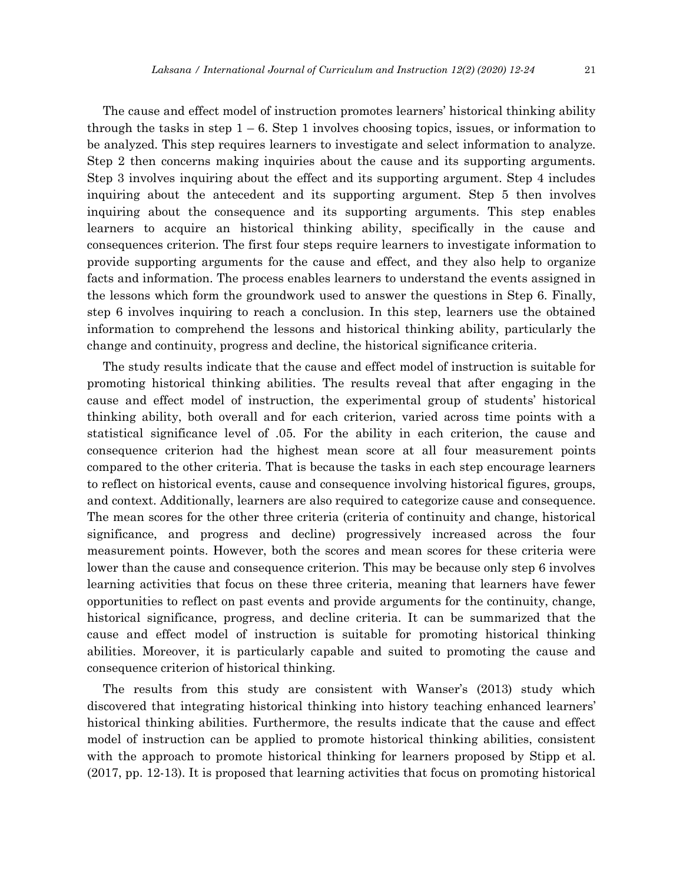The cause and effect model of instruction promotes learners' historical thinking ability through the tasks in step  $1 - 6$ . Step 1 involves choosing topics, issues, or information to be analyzed. This step requires learners to investigate and select information to analyze. Step 2 then concerns making inquiries about the cause and its supporting arguments. Step 3 involves inquiring about the effect and its supporting argument. Step 4 includes inquiring about the antecedent and its supporting argument. Step 5 then involves inquiring about the consequence and its supporting arguments. This step enables learners to acquire an historical thinking ability, specifically in the cause and consequences criterion. The first four steps require learners to investigate information to provide supporting arguments for the cause and effect, and they also help to organize facts and information. The process enables learners to understand the events assigned in the lessons which form the groundwork used to answer the questions in Step 6. Finally, step 6 involves inquiring to reach a conclusion. In this step, learners use the obtained information to comprehend the lessons and historical thinking ability, particularly the change and continuity, progress and decline, the historical significance criteria.

The study results indicate that the cause and effect model of instruction is suitable for promoting historical thinking abilities. The results reveal that after engaging in the cause and effect model of instruction, the experimental group of students' historical thinking ability, both overall and for each criterion, varied across time points with a statistical significance level of .05. For the ability in each criterion, the cause and consequence criterion had the highest mean score at all four measurement points compared to the other criteria. That is because the tasks in each step encourage learners to reflect on historical events, cause and consequence involving historical figures, groups, and context. Additionally, learners are also required to categorize cause and consequence. The mean scores for the other three criteria (criteria of continuity and change, historical significance, and progress and decline) progressively increased across the four measurement points. However, both the scores and mean scores for these criteria were lower than the cause and consequence criterion. This may be because only step 6 involves learning activities that focus on these three criteria, meaning that learners have fewer opportunities to reflect on past events and provide arguments for the continuity, change, historical significance, progress, and decline criteria. It can be summarized that the cause and effect model of instruction is suitable for promoting historical thinking abilities. Moreover, it is particularly capable and suited to promoting the cause and consequence criterion of historical thinking.

The results from this study are consistent with Wanser's (2013) study which discovered that integrating historical thinking into history teaching enhanced learners' historical thinking abilities. Furthermore, the results indicate that the cause and effect model of instruction can be applied to promote historical thinking abilities, consistent with the approach to promote historical thinking for learners proposed by Stipp et al. (2017, pp. 12-13). It is proposed that learning activities that focus on promoting historical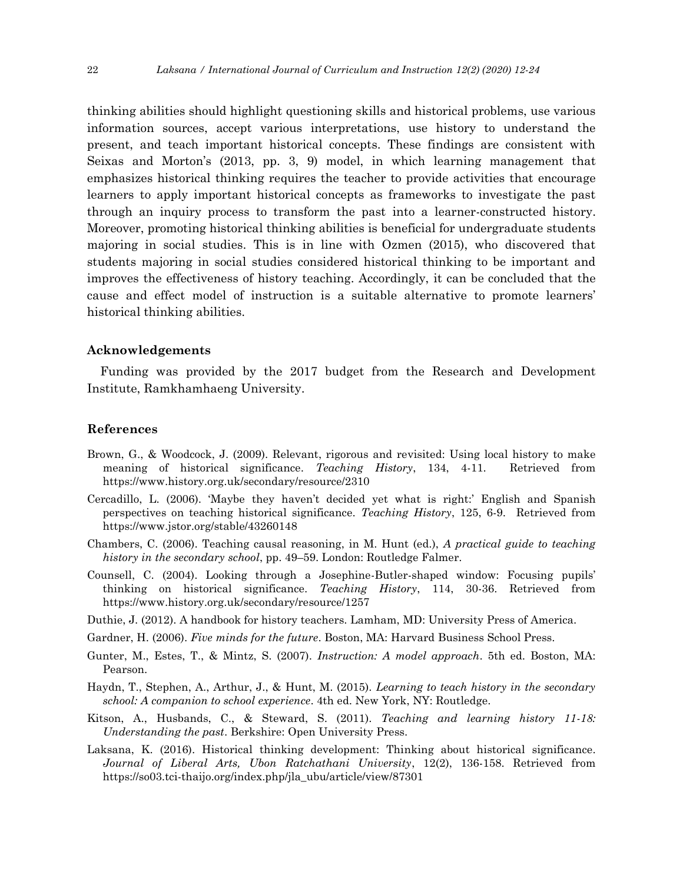thinking abilities should highlight questioning skills and historical problems, use various information sources, accept various interpretations, use history to understand the present, and teach important historical concepts. These findings are consistent with Seixas and Morton's (2013, pp. 3, 9) model, in which learning management that emphasizes historical thinking requires the teacher to provide activities that encourage learners to apply important historical concepts as frameworks to investigate the past through an inquiry process to transform the past into a learner-constructed history. Moreover, promoting historical thinking abilities is beneficial for undergraduate students majoring in social studies. This is in line with Ozmen (2015), who discovered that students majoring in social studies considered historical thinking to be important and improves the effectiveness of history teaching. Accordingly, it can be concluded that the cause and effect model of instruction is a suitable alternative to promote learners' historical thinking abilities.

#### **Acknowledgements**

Funding was provided by the 2017 budget from the Research and Development Institute, Ramkhamhaeng University.

#### **References**

- Brown, G., & Woodcock, J. (2009). Relevant, rigorous and revisited: Using local history to make meaning of historical significance. *Teaching History*, 134, 4-11. Retrieved from https://www.history.org.uk/secondary/resource/2310
- Cercadillo, L. (2006). 'Maybe they haven't decided yet what is right:' English and Spanish perspectives on teaching historical significance. *Teaching History*, 125, 6-9. Retrieved from https://www.jstor.org/stable/43260148
- Chambers, C. (2006). Teaching causal reasoning, in M. Hunt (ed.), *A practical guide to teaching history in the secondary school*, pp. 49–59. London: Routledge Falmer.
- Counsell, C. (2004). Looking through a Josephine-Butler-shaped window: Focusing pupils' thinking on historical significance. *Teaching History*, 114, 30-36. Retrieved from https://www.history.org.uk/secondary/resource/1257
- Duthie, J. (2012). A handbook for history teachers. Lamham, MD: University Press of America.
- Gardner, H. (2006). *Five minds for the future*. Boston, MA: Harvard Business School Press.
- Gunter, M., Estes, T., & Mintz, S. (2007). *Instruction: A model approach*. 5th ed. Boston, MA: Pearson.
- Haydn, T., Stephen, A., Arthur, J., & Hunt, M. (2015). *Learning to teach history in the secondary school: A companion to school experience*. 4th ed. New York, NY: Routledge.
- Kitson, A., Husbands, C., & Steward, S. (2011). *Teaching and learning history 11-18: Understanding the past*. Berkshire: Open University Press.
- Laksana, K. (2016). Historical thinking development: Thinking about historical significance. *Journal of Liberal Arts, Ubon Ratchathani University*, 12(2), 136-158. Retrieved from https://so03.tci-thaijo.org/index.php/jla\_ubu/article/view/87301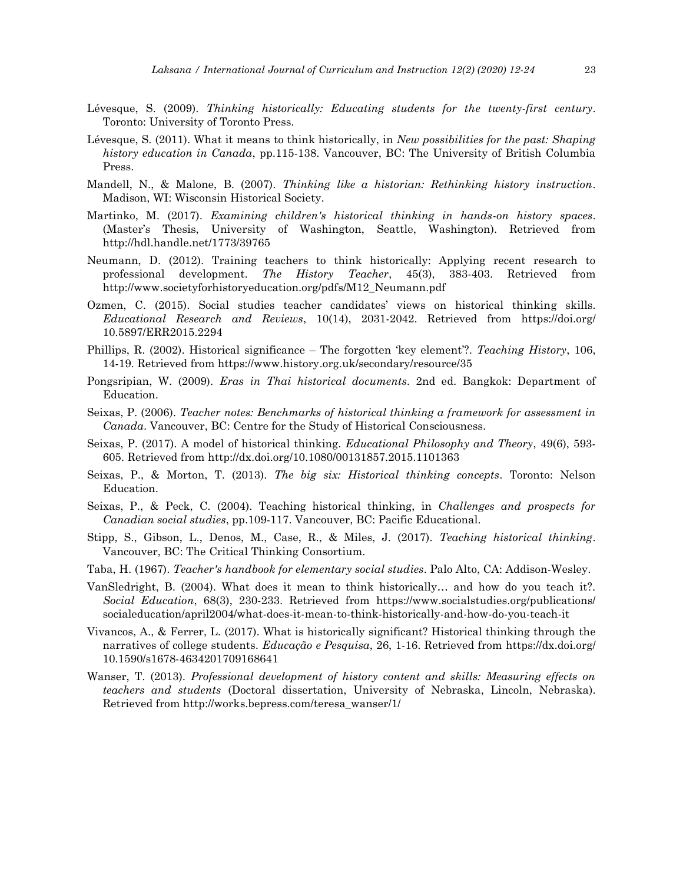- Lévesque, S. (2009). *Thinking historically: Educating students for the twenty-first century*. Toronto: University of Toronto Press.
- Lévesque, S. (2011). What it means to think historically, in *New possibilities for the past: Shaping history education in Canada*, pp.115-138. Vancouver, BC: The University of British Columbia Press.
- Mandell, N., & Malone, B. (2007). *Thinking like a historian: Rethinking history instruction*. Madison, WI: Wisconsin Historical Society.
- Martinko, M. (2017). *Examining children's historical thinking in hands-on history spaces*. (Master's Thesis, University of Washington, Seattle, Washington). Retrieved from http://hdl.handle.net/1773/39765
- Neumann, D. (2012). Training teachers to think historically: Applying recent research to professional development. *The History Teacher*, 45(3), 383-403. Retrieved from http://www.societyforhistoryeducation.org/pdfs/M12\_Neumann.pdf
- Ozmen, C. (2015). Social studies teacher candidates' views on historical thinking skills. *Educational Research and Reviews*, 10(14), 2031-2042. Retrieved from https://doi.org/ 10.5897/ERR2015.2294
- Phillips, R. (2002). Historical significance The forgotten 'key element'?. *Teaching History*, 106, 14-19. Retrieved from https://www.history.org.uk/secondary/resource/35
- Pongsripian, W. (2009). *Eras in Thai historical documents*. 2nd ed. Bangkok: Department of Education.
- Seixas, P. (2006). *Teacher notes: Benchmarks of historical thinking a framework for assessment in Canada*. Vancouver, BC: Centre for the Study of Historical Consciousness.
- Seixas, P. (2017). A model of historical thinking. *Educational Philosophy and Theory*, 49(6), 593- 605. Retrieved from http://dx.doi.org/10.1080/00131857.2015.1101363
- Seixas, P., & Morton, T. (2013). *The big six: Historical thinking concepts*. Toronto: Nelson Education.
- Seixas, P., & Peck, C. (2004). Teaching historical thinking, in *Challenges and prospects for Canadian social studies*, pp.109-117. Vancouver, BC: Pacific Educational.
- Stipp, S., Gibson, L., Denos, M., Case, R., & Miles, J. (2017). *Teaching historical thinking*. Vancouver, BC: The Critical Thinking Consortium.
- Taba, H. (1967). *Teacher's handbook for elementary social studies*. Palo Alto, CA: Addison-Wesley.
- VanSledright, B. (2004). What does it mean to think historically… and how do you teach it?. *Social Education*, 68(3), 230-233. Retrieved from https://www.socialstudies.org/publications/ socialeducation/april2004/what-does-it-mean-to-think-historically-and-how-do-you-teach-it
- Vivancos, A., & Ferrer, L. (2017). What is historically significant? Historical thinking through the narratives of college students. *Educação e Pesquisa*, 26, 1-16. Retrieved from https://dx.doi.org/ 10.1590/s1678-4634201709168641
- Wanser, T. (2013). *Professional development of history content and skills: Measuring effects on teachers and students* (Doctoral dissertation, University of Nebraska, Lincoln, Nebraska). Retrieved from http://works.bepress.com/teresa\_wanser/1/